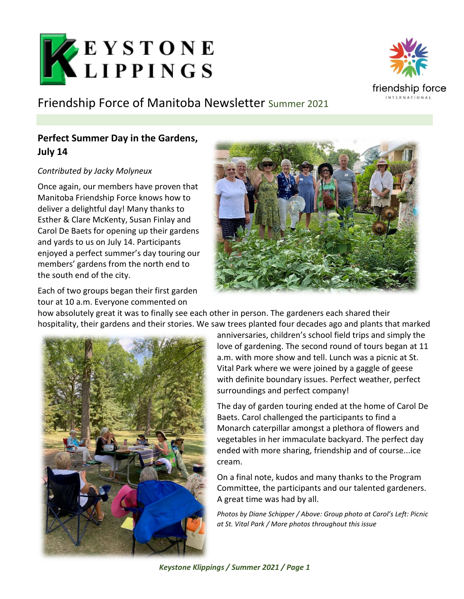

friendship force

# Friendship Force of Manitoba Newsletter Summer 2021

## **Perfect Summer Day in the Gardens, July 14**

### *Contributed by Jacky Molyneux*

Once again, our members have proven that Manitoba Friendship Force knows how to deliver a delightful day! Many thanks to Esther & Clare McKenty, Susan Finlay and Carol De Baets for opening up their gardens and yards to us on July 14. Participants enjoyed a perfect summer's day touring our members' gardens from the north end to the south end of the city.

Each of two groups began their first garden tour at 10 a.m. Everyone commented on



how absolutely great it was to finally see each other in person. The gardeners each shared their hospitality, their gardens and their stories. We saw trees planted four decades ago and plants that marked



anniversaries, children's school field trips and simply the love of gardening. The second round of tours began at 11 a.m. with more show and tell. Lunch was a picnic at St. Vital Park where we were joined by a gaggle of geese with definite boundary issues. Perfect weather, perfect surroundings and perfect company!

The day of garden touring ended at the home of Carol De Baets. Carol challenged the participants to find a Monarch caterpillar amongst a plethora of flowers and vegetables in her immaculate backyard. The perfect day ended with more sharing, friendship and of course...ice cream.

On a final note, kudos and many thanks to the Program Committee, the participants and our talented gardeners. A great time was had by all.

*Photos by Diane Schipper / Above: Group photo at Carol's Left: Picnic at St. Vital Park / More photos throughout this issue*

*Keystone Klippings / Summer 2021 / Page 1*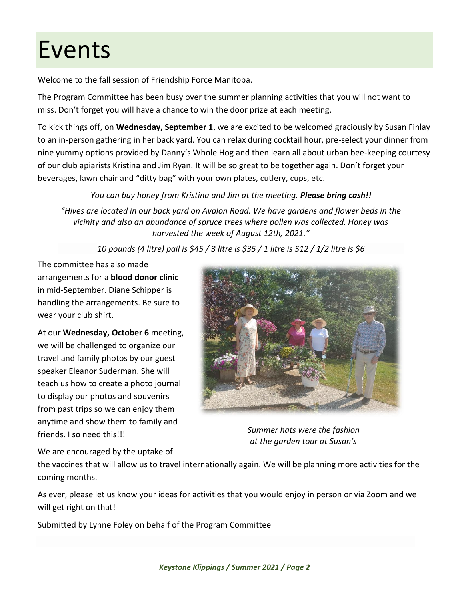# Events

Welcome to the fall session of Friendship Force Manitoba.

The Program Committee has been busy over the summer planning activities that you will not want to miss. Don't forget you will have a chance to win the door prize at each meeting.

To kick things off, on **Wednesday, September 1**, we are excited to be welcomed graciously by Susan Finlay to an in-person gathering in her back yard. You can relax during cocktail hour, pre-select your dinner from nine yummy options provided by Danny's Whole Hog and then learn all about urban bee-keeping courtesy of our club apiarists Kristina and Jim Ryan. It will be so great to be together again. Don't forget your beverages, lawn chair and "ditty bag" with your own plates, cutlery, cups, etc.

### *You can buy honey from Kristina and Jim at the meeting. Please bring cash!!*

*"Hives are located in our back yard on Avalon Road. We have gardens and flower beds in the vicinity and also an abundance of spruce trees where pollen was collected. Honey was harvested the week of August 12th, 2021."*

*10 pounds (4 litre) pail is \$45 / 3 litre is \$35 / 1 litre is \$12 / 1/2 litre is \$6*

The committee has also made arrangements for a **blood donor clinic** in mid-September. Diane Schipper is handling the arrangements. Be sure to wear your club shirt.

At our **Wednesday, October 6** meeting, we will be challenged to organize our travel and family photos by our guest speaker Eleanor Suderman. She will teach us how to create a photo journal to display our photos and souvenirs from past trips so we can enjoy them anytime and show them to family and friends. I so need this!!!



*Summer hats were the fashion at the garden tour at Susan's*

We are encouraged by the uptake of

the vaccines that will allow us to travel internationally again. We will be planning more activities for the coming months.

As ever, please let us know your ideas for activities that you would enjoy in person or via Zoom and we will get right on that!

Submitted by Lynne Foley on behalf of the Program Committee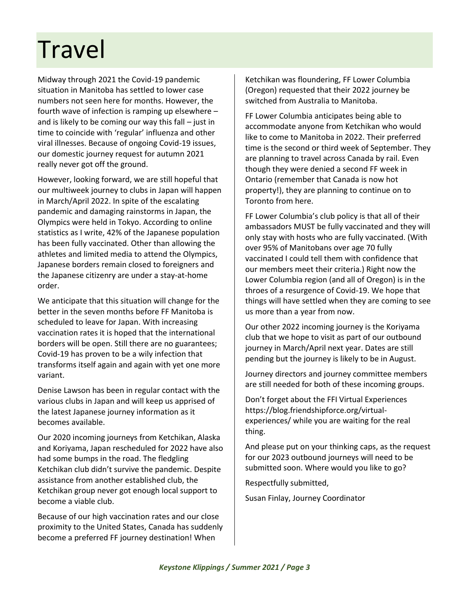# **Travel**

Midway through 2021 the Covid-19 pandemic situation in Manitoba has settled to lower case numbers not seen here for months. However, the fourth wave of infection is ramping up elsewhere – and is likely to be coming our way this fall  $-$  just in time to coincide with 'regular' influenza and other viral illnesses. Because of ongoing Covid-19 issues, our domestic journey request for autumn 2021 really never got off the ground.

However, looking forward, we are still hopeful that our multiweek journey to clubs in Japan will happen in March/April 2022. In spite of the escalating pandemic and damaging rainstorms in Japan, the Olympics were held in Tokyo. According to online statistics as I write, 42% of the Japanese population has been fully vaccinated. Other than allowing the athletes and limited media to attend the Olympics, Japanese borders remain closed to foreigners and the Japanese citizenry are under a stay-at-home order.

We anticipate that this situation will change for the better in the seven months before FF Manitoba is scheduled to leave for Japan. With increasing vaccination rates it is hoped that the international borders will be open. Still there are no guarantees; Covid-19 has proven to be a wily infection that transforms itself again and again with yet one more variant.

Denise Lawson has been in regular contact with the various clubs in Japan and will keep us apprised of the latest Japanese journey information as it becomes available.

Our 2020 incoming journeys from Ketchikan, Alaska and Koriyama, Japan rescheduled for 2022 have also had some bumps in the road. The fledgling Ketchikan club didn't survive the pandemic. Despite assistance from another established club, the Ketchikan group never got enough local support to become a viable club.

Because of our high vaccination rates and our close proximity to the United States, Canada has suddenly become a preferred FF journey destination! When

Ketchikan was floundering, FF Lower Columbia (Oregon) requested that their 2022 journey be switched from Australia to Manitoba.

FF Lower Columbia anticipates being able to accommodate anyone from Ketchikan who would like to come to Manitoba in 2022. Their preferred time is the second or third week of September. They are planning to travel across Canada by rail. Even though they were denied a second FF week in Ontario (remember that Canada is now hot property!), they are planning to continue on to Toronto from here.

FF Lower Columbia's club policy is that all of their ambassadors MUST be fully vaccinated and they will only stay with hosts who are fully vaccinated. (With over 95% of Manitobans over age 70 fully vaccinated I could tell them with confidence that our members meet their criteria.) Right now the Lower Columbia region (and all of Oregon) is in the throes of a resurgence of Covid-19. We hope that things will have settled when they are coming to see us more than a year from now.

Our other 2022 incoming journey is the Koriyama club that we hope to visit as part of our outbound journey in March/April next year. Dates are still pending but the journey is likely to be in August.

Journey directors and journey committee members are still needed for both of these incoming groups.

Don't forget about the FFI Virtual Experiences [https://blog.friendshipforce.org/virtual](https://blog.friendshipforce.org/virtual-experiences/)[experiences/](https://blog.friendshipforce.org/virtual-experiences/) while you are waiting for the real thing.

And please put on your thinking caps, as the request for our 2023 outbound journeys will need to be submitted soon. Where would you like to go?

Respectfully submitted,

Susan Finlay, Journey Coordinator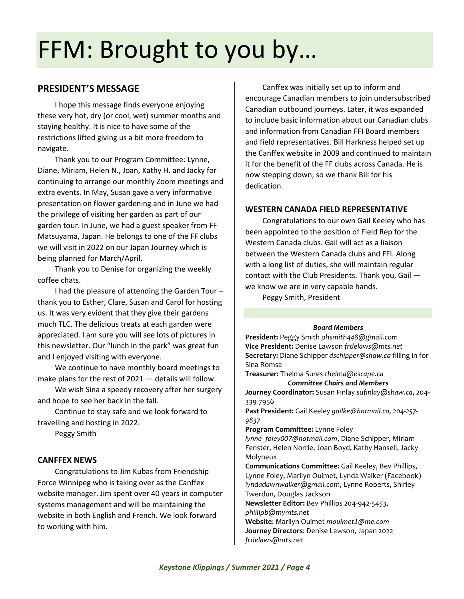# FFM: Brought to you by…

### **PRESIDENT'S MESSAGE**

I hope this message finds everyone enjoying these very hot, dry (or cool, wet) summer months and staying healthy. It is nice to have some of the restrictions lifted giving us a bit more freedom to navigate.

Thank you to our Program Committee: Lynne, Diane, Miriam, Helen N., Joan, Kathy H. and Jacky for continuing to arrange our monthly Zoom meetings and extra events. In May, Susan gave a very informative presentation on flower gardening and in June we had the privilege of visiting her garden as part of our garden tour. In June, we had a guest speaker from FF Matsuyama, Japan. He belongs to one of the FF clubs we will visit in 2022 on our Japan Journey which is being planned for March/April.

Thank you to Denise for organizing the weekly coffee chats.

I had the pleasure of attending the Garden Tour – thank you to Esther, Clare, Susan and Carol for hosting us. It was very evident that they give their gardens much TLC. The delicious treats at each garden were appreciated. I am sure you will see lots of pictures in this newsletter. Our "lunch in the park" was great fun and I enjoyed visiting with everyone.

We continue to have monthly board meetings to make plans for the rest of 2021 — details will follow.

We wish Sina a speedy recovery after her surgery and hope to see her back in the fall.

Continue to stay safe and we look forward to travelling and hosting in 2022.

Peggy Smith

#### **CANFFEX NEWS**

Congratulations to Jim Kubas from Friendship Force Winnipeg who is taking over as the Canffex website manager. Jim spent over 40 years in computer systems management and will be maintaining the website in both English and French. We look forward to working with him.

Canffex was initially set up to inform and encourage Canadian members to join undersubscribed Canadian outbound journeys. Later, it was expanded to include basic information about our Canadian clubs and information from Canadian FFI Board members and field representatives. Bill Harkness helped set up the Canffex website in 2009 and continued to maintain it for the benefit of the FF clubs across Canada. He is now stepping down, so we thank Bill for his dedication.

#### **WESTERN CANADA FIELD REPRESENTATIVE**

Congratulations to our own Gail Keeley who has been appointed to the position of Field Rep for the Western Canada clubs. Gail will act as a liaison between the Western Canada clubs and FFI. Along with a long list of duties, she will maintain regular contact with the Club Presidents. Thank you, Gail we know we are in very capable hands.

Peggy Smith, President

#### *Board Members*

**President:** Peggy Smith *phsmith448@gmail.com* **Vice President:** Denise Lawson *frdelaws@mts.net* **Secretary:** Diane Schipper *[dschipper@shaw.ca](mailto:dschipper@shaw.ca)* filling in for Sina Romsa

**Treasurer:** Thelma Sures *thelma@escape.ca Committee Chairs and Members*

**Journey Coordinator:** Susan Finlay *sufinlay@shaw.ca*, 204- 339-7956

**Past President:** Gail Keeley *[gailke@hotmail.ca](mailto:gailke@hotmail.ca), 204-257- 9837*

**Program Committee:** Lynne Foley

*[lynne\\_foley007@hotmail.com](mailto:lynne_foley007@hotmail.com)*, Diane Schipper, Miriam Fenster, Helen Norrie, Joan Boyd, Kathy Hansell, Jacky Molyneux

**Communications Committee:** Gail Keeley, Bev Phillips, Lynne Foley, Marilyn Ouimet, Lynda Walker (Facebook) *[lyndadawnwalker@gmail.com](mailto:lyndadawnwalker@gmail.com)*, Lynne Roberts, Shirley Twerdun, Douglas Jackson

**Newsletter Editor:** Bev Phillips 204-942-5453, *phillipb@mymts.net*

**Website**: Marilyn Ouimet *[mouimet1@me.com](mailto:mouimet1@me.com)* **Journey Directors**: Denise Lawson, Japan 2022 *frdelaws@mts.net*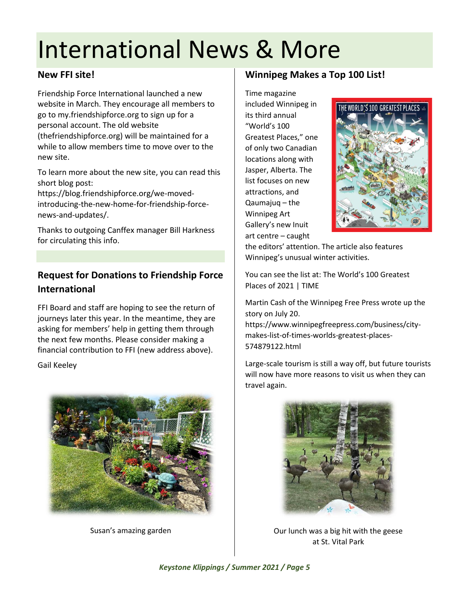# International News & More

### **New FFI site!**

Friendship Force International launched a new website in March. They encourage all members to go to my.friendshipforce.org to sign up for a personal account. The old website (thefriendshipforce.org) will be maintained for a while to allow members time to move over to the new site.

To learn more about the new site, you can read this short blog post:

[https://blog.friendshipforce.org/we-moved](https://blog.friendshipforce.org/we-moved-introducing-the-new-home-for-friendship-force-news-and-updates/)[introducing-the-new-home-for-friendship-force](https://blog.friendshipforce.org/we-moved-introducing-the-new-home-for-friendship-force-news-and-updates/)[news-and-updates/.](https://blog.friendshipforce.org/we-moved-introducing-the-new-home-for-friendship-force-news-and-updates/)

Thanks to outgoing Canffex manager Bill Harkness for circulating this info.

## **Request for Donations to Friendship Force International**

FFI Board and staff are hoping to see the return of journeys later this year. In the meantime, they are asking for members' help in getting them through the next few months. Please consider making a financial contribution to FFI (new address above).

Gail Keeley



Susan's amazing garden

## **Winnipeg Makes a Top 100 List!**

Time magazine included Winnipeg in its third annual "World's 100 Greatest Places," one of only two Canadian locations along with Jasper, Alberta. The list focuses on new attractions, and Qaumajuq – the Winnipeg Art Gallery's new Inuit art centre – caught



the editors' attention. The article also features Winnipeg's unusual winter activities.

You can see the list at: [The World's 100 Greatest](https://time.com/collection/worlds-greatest-places-2021/)  [Places of 2021 | TIME](https://time.com/collection/worlds-greatest-places-2021/)

Martin Cash of the Winnipeg Free Press wrote up the story on July 20.

[https://www.winnipegfreepress.com/business/city](https://www.winnipegfreepress.com/business/city-makes-list-of-times-worlds-greatest-places-574879122.html)[makes-list-of-times-worlds-greatest-places-](https://www.winnipegfreepress.com/business/city-makes-list-of-times-worlds-greatest-places-574879122.html)[574879122.html](https://www.winnipegfreepress.com/business/city-makes-list-of-times-worlds-greatest-places-574879122.html)

Large-scale tourism is still a way off, but future tourists will now have more reasons to visit us when they can travel again.



Our lunch was a big hit with the geese at St. Vital Park